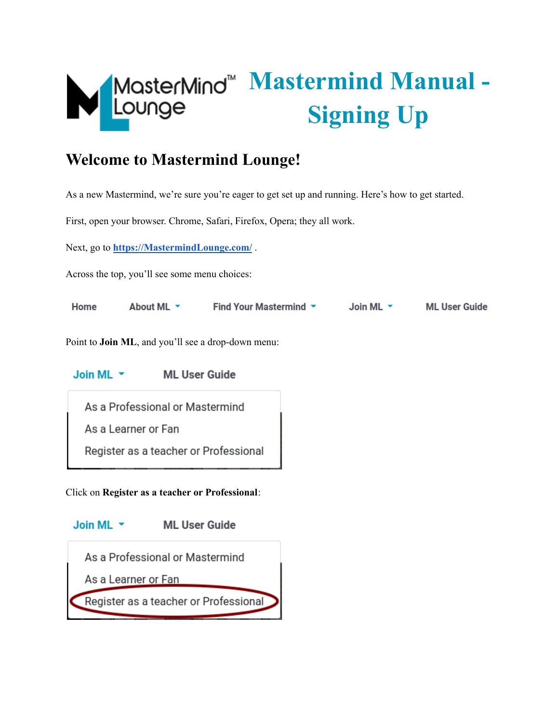

# **Mastermind Manual - Signing Up**

## **Welcome to Mastermind Lounge!**

As a new Mastermind, we're sure you're eager to get set up and running. Here's how to get started.

First, open your browser. Chrome, Safari, Firefox, Opera; they all work.

Next, go to **[https://MastermindLounge.com/](https://mastermindlounge.com/)** .

Across the top, you'll see some menu choices:

| Home | About ML $\sim$ | Find Your Mastermind $\sim$ | Join ML $\sim$ | <b>ML User Guide</b> |
|------|-----------------|-----------------------------|----------------|----------------------|
|      |                 |                             |                |                      |

Point to **Join ML**, and you'll see a drop-down menu:

Join ML  $\sim$ **ML User Guide** 

As a Professional or Mastermind As a Learner or Fan

Register as a teacher or Professional

Click on **Register as a teacher or Professional**:

Join ML \* **ML User Guide** As a Professional or Mastermind As a Learner or Fan Register as a teacher or Professional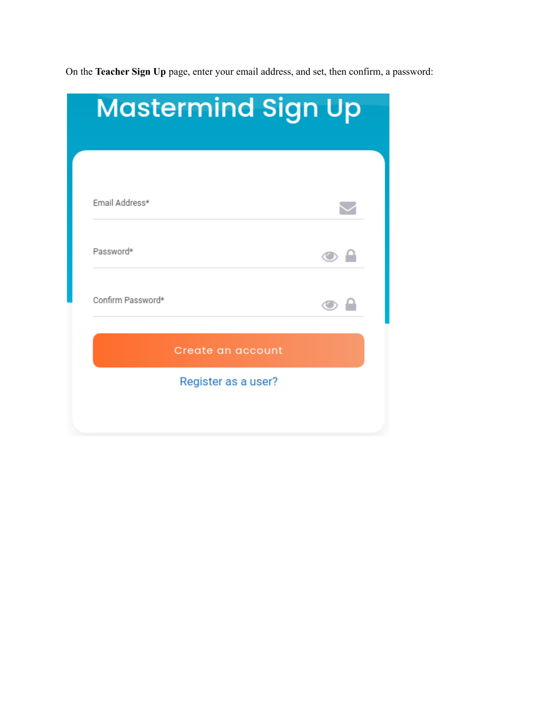On the **Teacher Sign Up** page, enter your email address, and set, then confirm, a password:

| <b>Mastermind Sign Up</b> |                     |                      |  |  |
|---------------------------|---------------------|----------------------|--|--|
|                           |                     |                      |  |  |
|                           |                     |                      |  |  |
| Email Address*            |                     |                      |  |  |
| Password*                 |                     | $\bullet$ $^{\circ}$ |  |  |
| Confirm Password*         |                     |                      |  |  |
|                           | Create an account   |                      |  |  |
|                           |                     |                      |  |  |
|                           | Register as a user? |                      |  |  |
|                           |                     |                      |  |  |
|                           |                     |                      |  |  |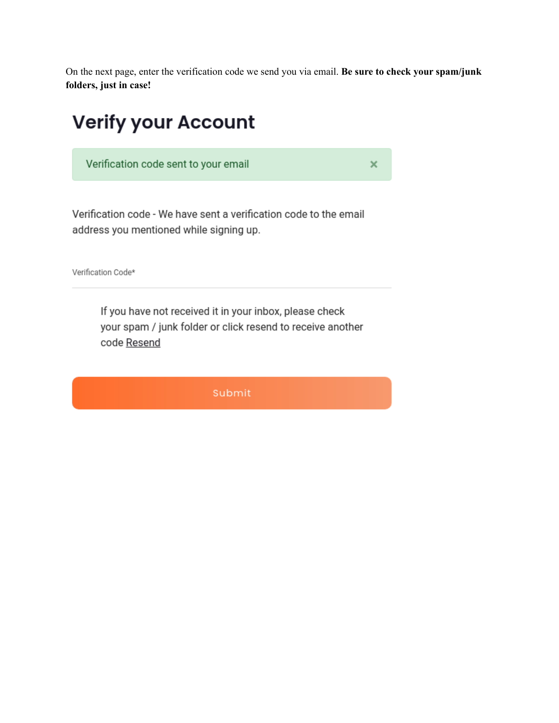On the next page, enter the verification code we send you via email. **Be sure to check your spam/junk folders, just in case!**

 $\boldsymbol{\times}$ 

## **Verify your Account**

Verification code sent to your email

Verification code - We have sent a verification code to the email address you mentioned while signing up.

Verification Code\*

If you have not received it in your inbox, please check your spam / junk folder or click resend to receive another code Resend

Submit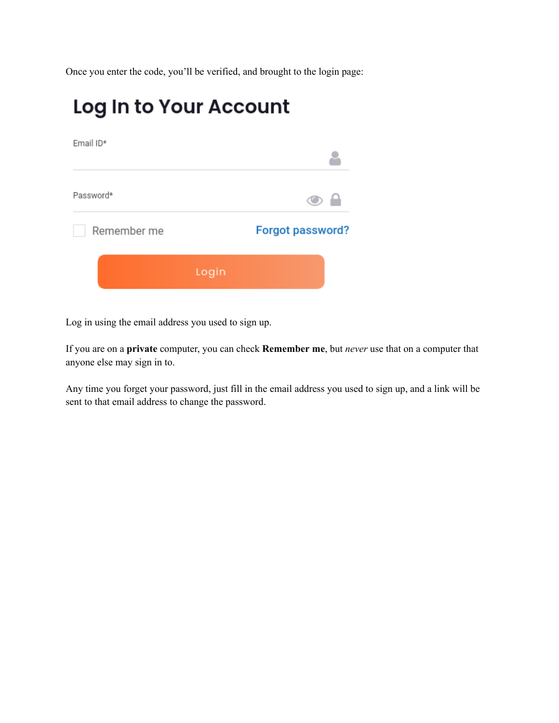Once you enter the code, you'll be verified, and brought to the login page:

## Log In to Your Account

| Email ID*   |                         |
|-------------|-------------------------|
| Password*   |                         |
| Remember me | <b>Forgot password?</b> |
|             | Login                   |

Log in using the email address you used to sign up.

If you are on a **private** computer, you can check **Remember me**, but *never* use that on a computer that anyone else may sign in to.

Any time you forget your password, just fill in the email address you used to sign up, and a link will be sent to that email address to change the password.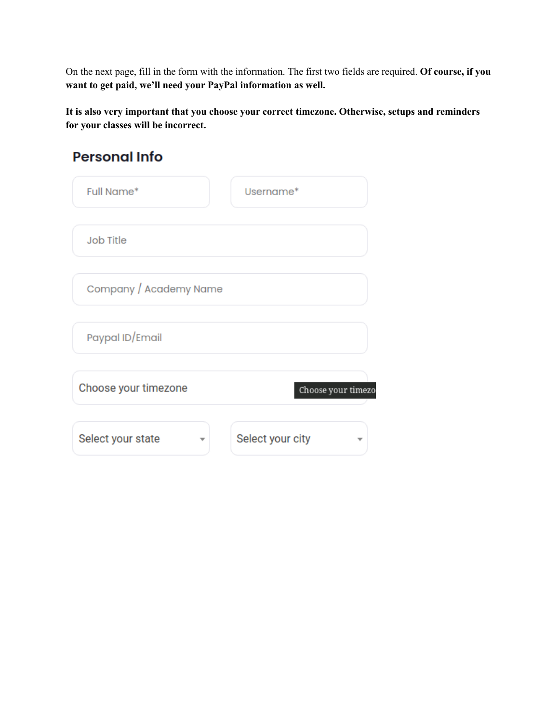On the next page, fill in the form with the information. The first two fields are required. **Of course, if you want to get paid, we'll need your PayPal information as well.**

**It is also very important that you choose your correct timezone. Otherwise, setups and reminders for your classes will be incorrect.**

## **Personal Info**

| <b>Full Name*</b>      | Username*          |
|------------------------|--------------------|
| <b>Job Title</b>       |                    |
| Company / Academy Name |                    |
| Paypal ID/Email        |                    |
| Choose your timezone   | Choose your timezo |
| Select your state      | Select your city   |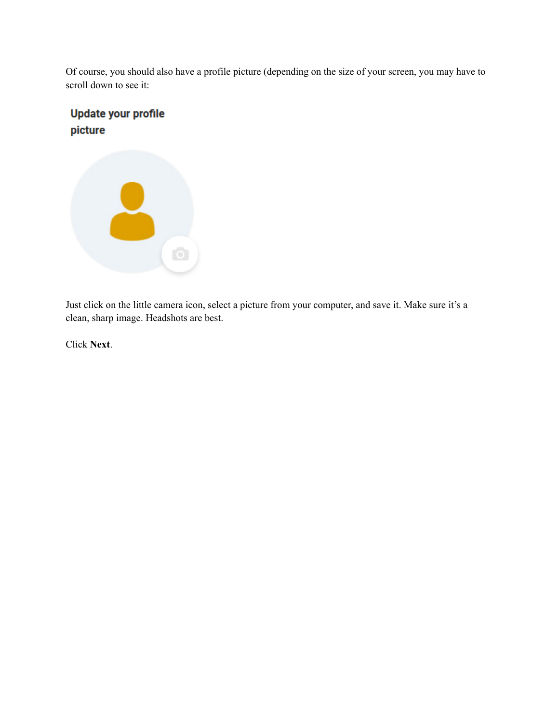Of course, you should also have a profile picture (depending on the size of your screen, you may have to scroll down to see it:

#### **Update your profile** picture



Just click on the little camera icon, select a picture from your computer, and save it. Make sure it's a clean, sharp image. Headshots are best.

Click **Next**.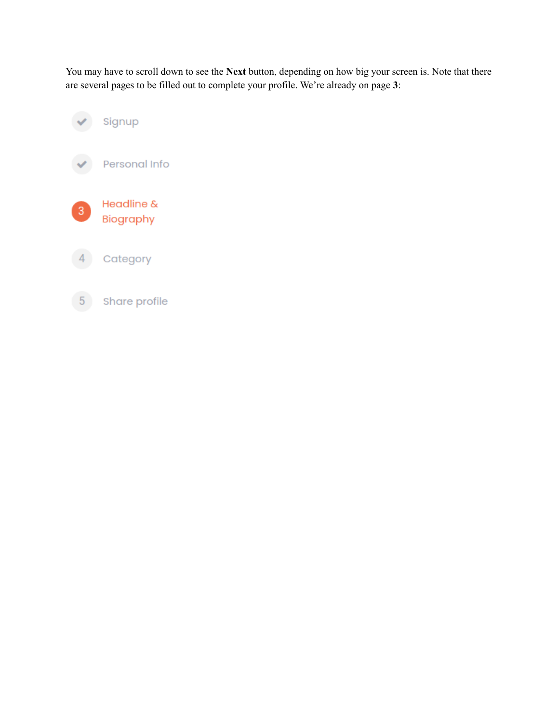You may have to scroll down to see the **Next** button, depending on how big your screen is. Note that there are several pages to be filled out to complete your profile. We're already on page **3**:



Share profile  $5<sub>5</sub>$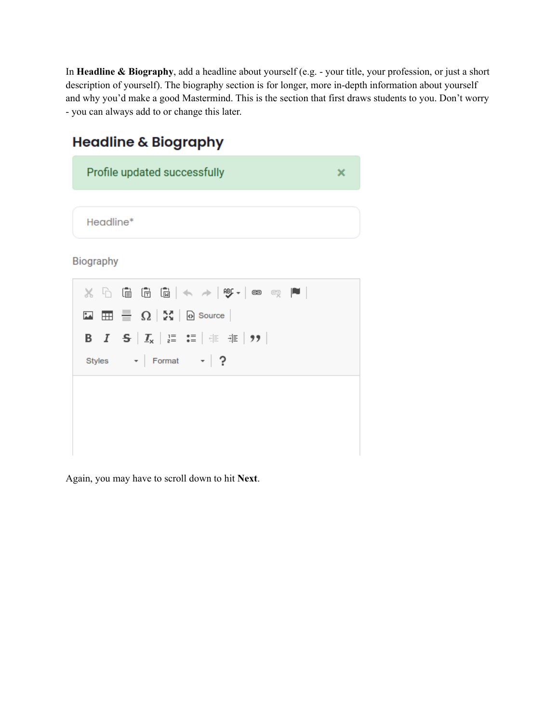In **Headline & Biography**, add a headline about yourself (e.g. - your title, your profession, or just a short description of yourself). The biography section is for longer, more in-depth information about yourself and why you'd make a good Mastermind. This is the section that first draws students to you. Don't worry - you can always add to or change this later.

### **Headline & Biography**





Again, you may have to scroll down to hit **Next**.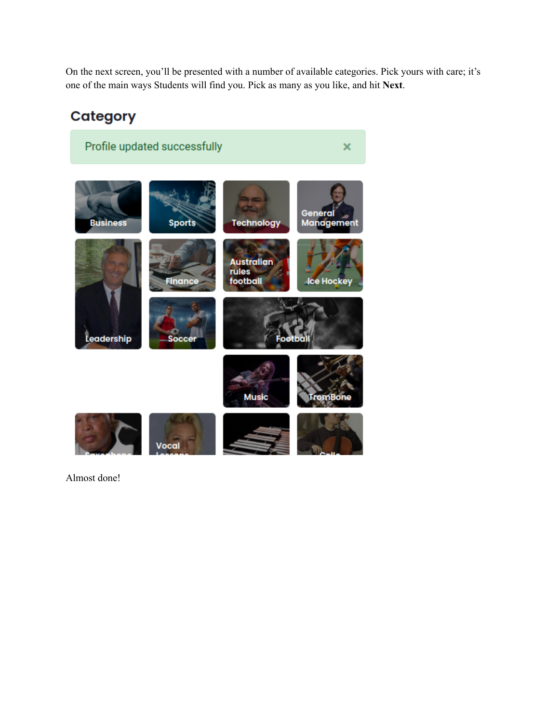On the next screen, you'll be presented with a number of available categories. Pick yours with care; it's one of the main ways Students will find you. Pick as many as you like, and hit **Next**.

### **Category**



Almost done!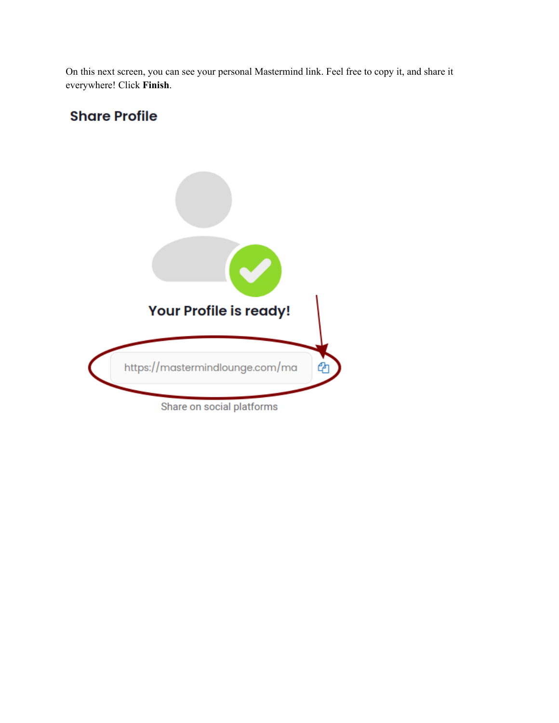On this next screen, you can see your personal Mastermind link. Feel free to copy it, and share it everywhere! Click **Finish**.

#### **Share Profile**